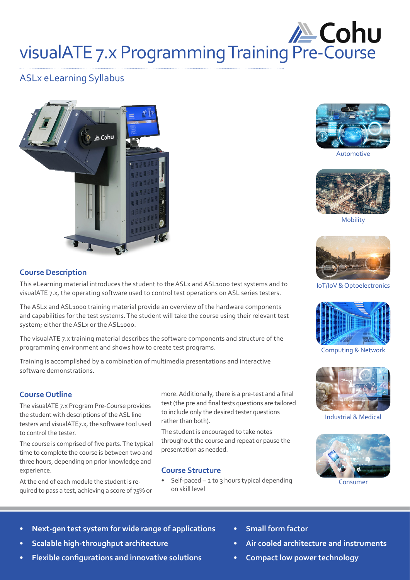# **/ Cohu** visualATE 7.x Programming Training Pre-Course

# ASLx eLearning Syllabus





Automotive



Mobility



IoT/IoV & Optoelectronics



Computing & Network



Industrial & Medical



Consumer

**Course Description**

This eLearning material introduces the student to the ASLx and ASL1000 test systems and to visualATE 7.x, the operating software used to control test operations on ASL series testers.

The ASLx and ASL1000 training material provide an overview of the hardware components and capabilities for the test systems. The student will take the course using their relevant test system; either the ASLx or the ASL1000.

The visualATE 7.x training material describes the software components and structure of the programming environment and shows how to create test programs.

Training is accomplished by a combination of multimedia presentations and interactive software demonstrations.

### **Course Outline**

The visualATE 7.x Program Pre-Course provides the student with descriptions of the ASL line testers and visualATE7.x, the software tool used to control the tester.

The course is comprised of five parts. The typical time to complete the course is between two and three hours, depending on prior knowledge and experience.

At the end of each module the student is required to pass a test, achieving a score of 75% or more. Additionally, there is a pre-test and a final test (the pre and final tests questions are tailored to include only the desired tester questions rather than both).

The student is encouraged to take notes throughout the course and repeat or pause the presentation as needed.

#### **Course Structure**

- Self-paced  $-$  2 to 3 hours typical depending on skill level
- **• Next-gen test system for wide range of applications**
- **• Scalable high-throughput architecture**
- **• Flexible configurations and innovative solutions**
- **• Small form factor**
- **• Air cooled architecture and instruments**
- **• Compact low power technology**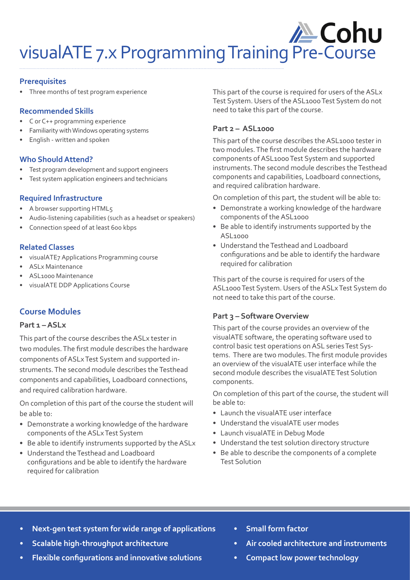# **/ Cohu** visualATE 7.x Programming Training Pre-Course

#### **Prerequisites**

Three months of test program experience

#### **Recommended Skills**

- C or C++ programming experience
- Familiarity with Windows operating systems
- English written and spoken

#### **Who Should Attend?**

- Test program development and support engineers
- Test system application engineers and technicians

#### **Required Infrastructure**

- A browser supporting HTML5
- Audio-listening capabilities (such as a headset or speakers)
- Connection speed of at least 600 kbps

### **Related Classes**

- visualATE7 Applications Programming course
- ASLx Maintenance
- ASL1000 Maintenance
- visualATE DDP Applications Course

## **Course Modules**

#### **Part 1 – ASLx**

This part of the course describes the ASLx tester in two modules. The first module describes the hardware components of ASLx Test System and supported instruments. The second module describes the Testhead components and capabilities, Loadboard connections, and required calibration hardware.

On completion of this part of the course the student will be able to:

- Demonstrate a working knowledge of the hardware components of the ASLx Test System
- Be able to identify instruments supported by the ASLx
- Understand the Testhead and Loadboard configurations and be able to identify the hardware required for calibration

This part of the course is required for users of the ASLx Test System. Users of the ASL1000 Test System do not need to take this part of the course.

### **Part 2 – ASL1000**

This part of the course describes the ASL1000 tester in two modules. The first module describes the hardware components of ASL1000 Test System and supported instruments. The second module describes the Testhead components and capabilities, Loadboard connections, and required calibration hardware.

On completion of this part, the student will be able to:

- Demonstrate a working knowledge of the hardware components of the ASL1000
- Be able to identify instruments supported by the ASL1000
- Understand the Testhead and Loadboard configurations and be able to identify the hardware required for calibration

This part of the course is required for users of the ASL1000 Test System. Users of the ASLx Test System do not need to take this part of the course.

### **Part 3 – Software Overview**

This part of the course provides an overview of the visualATE software, the operating software used to control basic test operations on ASL series Test Systems. There are two modules. The first module provides an overview of the visualATE user interface while the second module describes the visualATE Test Solution components.

On completion of this part of the course, the student will be able to:

- Launch the visualATE user interface
- Understand the visualATE user modes
- Launch visualATE in Debug Mode
- Understand the test solution directory structure
- Be able to describe the components of a complete Test Solution

- **• Next-gen test system for wide range of applications**
- **• Scalable high-throughput architecture**
- **• Flexible configurations and innovative solutions**
- **• Small form factor**
- **• Air cooled architecture and instruments**
- **• Compact low power technology**